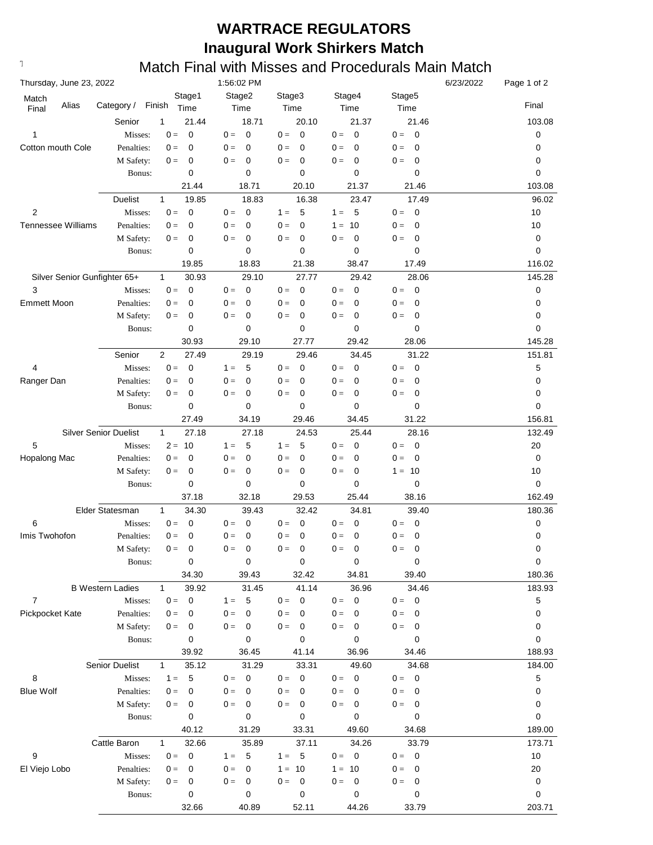## **WARTRACE REGULATORS Inaugural Work Shirkers Match**

## **Text376: Match Final with Misses and Procedurals Main Match**

| Thursday, June 23, 2022           |                              |                       | 1:56:02 PM                       |                      |                                   |                     | 6/23/2022 | Page 1 of 2 |
|-----------------------------------|------------------------------|-----------------------|----------------------------------|----------------------|-----------------------------------|---------------------|-----------|-------------|
| Match                             |                              | Stage1                | Stage2                           | Stage3               | Stage4                            | Stage5              |           |             |
| Alias<br>Final                    | Category /                   | Finish<br>Time        | Time                             | Time                 | Time                              | Time                |           | Final       |
|                                   | Senior                       | 21.44<br>1            | 18.71                            | 20.10                | 21.37                             | 21.46               |           | 103.08      |
| 1                                 | Misses:                      | $\mathbf 0$<br>$0 =$  | $0 =$<br>0                       | $\mathbf 0$<br>$0 =$ | $\overline{0}$<br>$0 =$           | $0 =$<br>0          |           | 0           |
| Cotton mouth Cole                 | Penalties:                   | 0<br>$0 =$            | 0<br>$0 =$                       | $0 =$<br>0           | $0 =$<br>0                        | $0 =$<br>0          |           | 0           |
|                                   | M Safety:                    | 0<br>$0 =$            | 0<br>$0 =$                       | $0 =$<br>0           | 0<br>$0 =$                        | $0 =$<br>0          |           | 0           |
|                                   | Bonus:                       | 0                     | 0                                | 0                    | 0                                 | 0                   |           | 0           |
|                                   |                              | 21.44                 | 18.71                            | 20.10                | 21.37                             | 21.46               |           | 103.08      |
|                                   | Duelist                      | 19.85<br>1            | 18.83                            | 16.38                | 23.47                             | 17.49               |           | 96.02       |
| 2                                 | Misses:                      | $0 =$<br>0            | $0 =$<br>$\mathbf 0$             | $1 =$<br>5           | $1 =$<br>- 5                      | $0 =$<br>0          |           | 10          |
| Tennessee Williams                | Penalties:                   | 0<br>$0 =$            | $\mathbf 0$<br>$0 =$             | $0 =$<br>0           | $1 = 10$                          | $0 =$<br>0          |           | 10          |
|                                   | M Safety:                    | 0<br>$0 =$            | 0<br>$0 =$                       | $0 =$<br>0           | 0<br>$0 =$                        | $0 =$<br>0          |           | 0           |
|                                   | Bonus:                       | 0<br>19.85            | 0<br>18.83                       | 0<br>21.38           | 0<br>38.47                        | 0                   |           | 0<br>116.02 |
|                                   |                              | 30.93<br>$\mathbf{1}$ | 29.10                            | 27.77                | 29.42                             | 17.49               |           | 145.28      |
| Silver Senior Gunfighter 65+<br>3 | Misses:                      | $\mathbf 0$<br>$0 =$  | $\mathbf 0$<br>$0 =$             | $0 =$<br>0           | $\overline{0}$<br>$0 =$           | 28.06<br>$0 =$<br>0 |           | 0           |
| <b>Emmett Moon</b>                | Penalties:                   | 0<br>$0 =$            | 0<br>$0 =$                       | $0 =$<br>0           | $0 =$<br>0                        | $0 =$<br>0          |           | 0           |
|                                   | M Safety:                    | 0<br>$0 =$            | 0<br>$0 =$                       | $0 =$<br>0           | 0<br>$0 =$                        | $0 =$<br>0          |           | 0           |
|                                   | Bonus:                       | 0                     | 0                                | 0                    | 0                                 | 0                   |           | 0           |
|                                   |                              | 30.93                 | 29.10                            | 27.77                | 29.42                             | 28.06               |           | 145.28      |
|                                   | Senior                       | $\mathbf{2}$<br>27.49 | 29.19                            | 29.46                | 34.45                             | 31.22               |           | 151.81      |
| 4                                 | Misses:                      | $0 =$<br>0            | 5<br>$1 =$                       | $0 =$<br>0           | $0 =$<br>0                        | 0<br>$0 =$          |           | 5           |
| Ranger Dan                        | Penalties:                   | 0<br>$0 =$            | 0<br>$0 =$                       | $0 =$<br>0           | $0 =$<br>0                        | $0 =$<br>0          |           | 0           |
|                                   | M Safety:                    | 0<br>$0 =$            | 0<br>$0 =$                       | $0 =$<br>0           | $\mathbf 0$<br>$0 =$              | $0 =$<br>0          |           | 0           |
|                                   | Bonus:                       | 0                     | 0                                | 0                    | $\mathbf 0$                       | 0                   |           | 0           |
|                                   |                              | 27.49                 | 34.19                            | 29.46                | 34.45                             | 31.22               |           | 156.81      |
|                                   | <b>Silver Senior Duelist</b> | $\mathbf{1}$<br>27.18 | 27.18                            | 24.53                | 25.44                             | 28.16               |           | 132.49      |
| 5                                 | Misses:                      | $2 =$<br>10           | 5<br>$1 =$                       | $1 =$<br>5           | 0<br>$0 =$                        | 0<br>$0 =$          |           | 20          |
| Hopalong Mac                      | Penalties:                   | 0<br>$0 =$            | 0<br>$0 =$                       | 0<br>$0 =$           | 0<br>$0 =$                        | $0 =$<br>0          |           | 0           |
|                                   | M Safety:                    | 0<br>$0 =$            | 0<br>$0 =$                       | 0<br>$0 =$           | 0<br>$0 =$                        | $1 = 10$            |           | 10          |
|                                   | Bonus:                       | 0                     | 0                                | 0                    | 0                                 | 0                   |           | 0           |
|                                   |                              | 37.18                 | 32.18                            | 29.53                | 25.44                             | 38.16               |           | 162.49      |
|                                   | Elder Statesman              | 1<br>34.30            | 39.43                            | 32.42                | 34.81                             | 39.40               |           | 180.36      |
| 6                                 | Misses:                      | $0 =$<br>0            | $\mathbf 0$<br>$0 =$             | 0<br>$0 =$           | $0 =$<br>$\overline{\mathbf{0}}$  | 0<br>$0 =$          |           | 0           |
| Imis Twohofon                     | Penalties:                   | 0<br>$0 =$            | 0<br>$0 =$                       | 0<br>$0 =$           | 0<br>$0 =$                        | $0 =$<br>0          |           | 0           |
|                                   | M Safety:                    | 0<br>$0 =$            | 0<br>$0 =$                       | 0<br>$0 =$           | 0<br>$0 =$                        | 0<br>$0 =$          |           | 0           |
|                                   | Bonus:                       | 0                     | 0                                | 0                    | 0                                 | 0                   |           | $\pmb{0}$   |
|                                   |                              | 34.30                 | 39.43                            | 32.42                | 34.81                             | 39.40               |           | 180.36      |
|                                   | <b>B</b> Western Ladies      | 39.92<br>$\mathbf{1}$ | 31.45                            | 41.14                | 36.96                             | 34.46               |           | 183.93      |
| $\overline{7}$                    | Misses:                      | $\pmb{0}$<br>$0 =$    | 5<br>$1 =$                       | $0 =$<br>$\mathbf 0$ | $\overline{\mathbf{0}}$<br>$0 =$  | $0 = 0$             |           | $\mathbf 5$ |
| Pickpocket Kate                   | Penalties:                   | $0 =$<br>0            | $0 =$<br>0                       | $0 =$<br>0           | $0 =$<br>0                        | $0 =$<br>0          |           | 0           |
|                                   | M Safety:<br>Bonus:          | 0<br>$0 =$<br>0       | $0 =$<br>0<br>0                  | $0 =$<br>0<br>0      | $0 =$<br>0<br>0                   | $0 =$<br>0<br>0     |           | 0<br>0      |
|                                   |                              | 39.92                 | 36.45                            | 41.14                | 36.96                             | 34.46               |           | 188.93      |
|                                   | Senior Duelist               | 35.12<br>1            | 31.29                            | 33.31                | 49.60                             | 34.68               |           | 184.00      |
| 8                                 | Misses:                      | 5<br>$1 =$            | $\overline{\mathbf{0}}$<br>$0 =$ | $\mathbf 0$<br>$0 =$ | $\overline{\phantom{0}}$<br>$0 =$ | $0 = 0$             |           | $\mathbf 5$ |
| <b>Blue Wolf</b>                  | Penalties:                   | 0<br>$0 =$            | $0 =$<br>0                       | $0 =$<br>0           | $\mathbf{0} =$<br>0               | $0 =$<br>0          |           | 0           |
|                                   | M Safety:                    | 0<br>$0 =$            | 0<br>$0 =$                       | $0 =$<br>0           | $0 =$<br>0                        | $0 =$<br>0          |           | 0           |
|                                   | Bonus:                       | 0                     | 0                                | 0                    | 0                                 | 0                   |           | 0           |
|                                   |                              | 40.12                 | 31.29                            | 33.31                | 49.60                             | 34.68               |           | 189.00      |
|                                   | Cattle Baron                 | 32.66<br>1            | 35.89                            | 37.11                | 34.26                             | 33.79               |           | 173.71      |
| 9                                 | Misses:                      | $0 =$<br>0            | 5<br>$1 =$                       | $1 = 5$              | $0 = 0$                           | $0 = 0$             |           | 10          |
| El Viejo Lobo                     | Penalties:                   | 0<br>$0 =$            | $0 =$<br>0                       | $1 =$<br>10          | $1 = 10$                          | $0 =$<br>0          |           | 20          |
|                                   | M Safety:                    | 0<br>$0 =$            | $0 =$<br>0                       | $0 =$<br>0           | 0<br>$0 =$                        | $0 =$<br>0          |           | 0           |
|                                   | Bonus:                       | 0                     | 0                                | 0                    | 0                                 | 0                   |           | 0           |
|                                   |                              | 32.66                 | 40.89                            | 52.11                | 44.26                             | 33.79               |           | 203.71      |